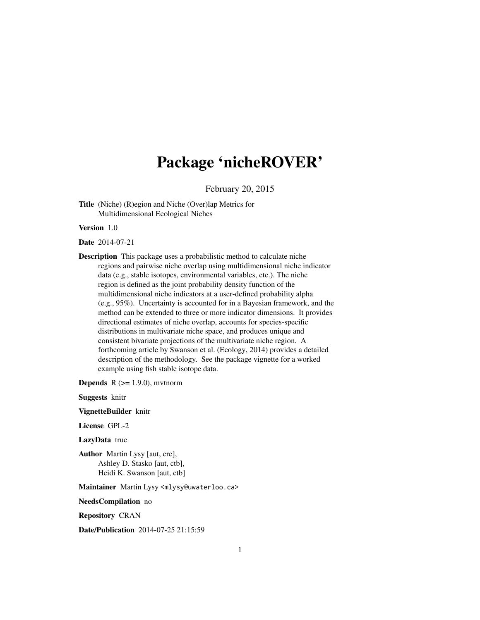## Package 'nicheROVER'

February 20, 2015

Title (Niche) (R)egion and Niche (Over)lap Metrics for Multidimensional Ecological Niches

Version 1.0

Date 2014-07-21

Description This package uses a probabilistic method to calculate niche regions and pairwise niche overlap using multidimensional niche indicator data (e.g., stable isotopes, environmental variables, etc.). The niche region is defined as the joint probability density function of the multidimensional niche indicators at a user-defined probability alpha (e.g., 95%). Uncertainty is accounted for in a Bayesian framework, and the method can be extended to three or more indicator dimensions. It provides directional estimates of niche overlap, accounts for species-specific distributions in multivariate niche space, and produces unique and consistent bivariate projections of the multivariate niche region. A forthcoming article by Swanson et al. (Ecology, 2014) provides a detailed description of the methodology. See the package vignette for a worked example using fish stable isotope data.

**Depends**  $R$  ( $>= 1.9.0$ ), mytnorm

Suggests knitr

VignetteBuilder knitr

License GPL-2

LazyData true

Author Martin Lysy [aut, cre], Ashley D. Stasko [aut, ctb], Heidi K. Swanson [aut, ctb]

Maintainer Martin Lysy <mlysy@uwaterloo.ca>

NeedsCompilation no

Repository CRAN

Date/Publication 2014-07-25 21:15:59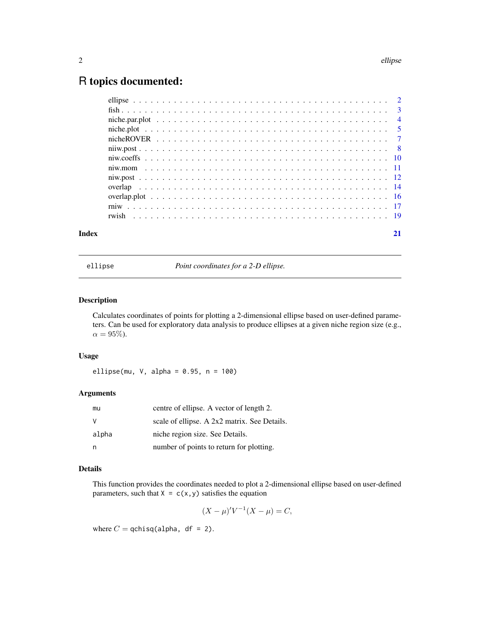### <span id="page-1-0"></span>R topics documented:

| Index | 21 |
|-------|----|
|       |    |
|       |    |
|       |    |
|       |    |
|       |    |
|       |    |
|       |    |
|       |    |
|       |    |
|       |    |
|       |    |
|       |    |
|       |    |

ellipse *Point coordinates for a 2-D ellipse.*

#### Description

Calculates coordinates of points for plotting a 2-dimensional ellipse based on user-defined parameters. Can be used for exploratory data analysis to produce ellipses at a given niche region size (e.g.,  $\alpha = 95\%$ ).

#### Usage

ellipse(mu,  $V$ , alpha = 0.95,  $n = 100$ )

#### Arguments

| mu    | centre of ellipse. A vector of length 2.     |
|-------|----------------------------------------------|
|       | scale of ellipse. A 2x2 matrix. See Details. |
| alpha | niche region size. See Details.              |
|       | number of points to return for plotting.     |

#### Details

This function provides the coordinates needed to plot a 2-dimensional ellipse based on user-defined parameters, such that  $X = c(x, y)$  satisfies the equation

$$
(X - \mu)'V^{-1}(X - \mu) = C,
$$

where  $C =$  qchisq(alpha, df = 2).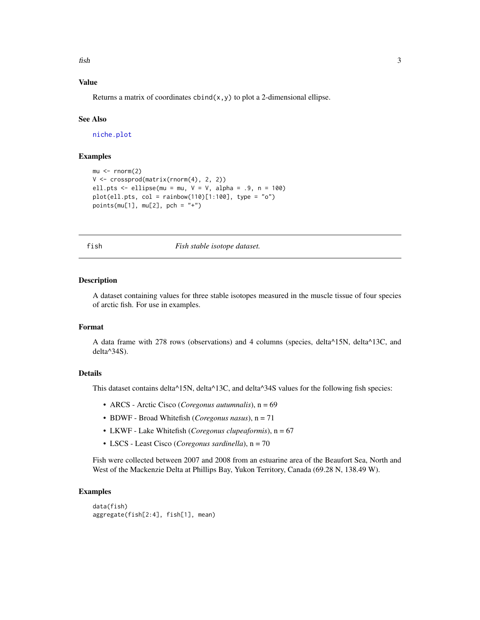<span id="page-2-0"></span> $fish$  3

#### Value

Returns a matrix of coordinates  $\text{cbind}(x, y)$  to plot a 2-dimensional ellipse.

#### See Also

[niche.plot](#page-4-1)

#### Examples

```
mu < - rnorm(2)V <- crossprod(matrix(rnorm(4), 2, 2))
ell.pts \leq ellipse(mu = mu, V = V, alpha = .9, n = 100)
plot(ell.pts, col = rainbow(110)[1:100], type = "o")points(mu[1], mu[2], pch = "+")
```
fish *Fish stable isotope dataset.*

#### Description

A dataset containing values for three stable isotopes measured in the muscle tissue of four species of arctic fish. For use in examples.

#### Format

A data frame with 278 rows (observations) and 4 columns (species, delta^15N, delta^13C, and delta^34S).

#### Details

This dataset contains delta<sup> $\triangle$ 15N, delta<sup> $\triangle$ 13C, and delta<sup> $\triangle$ 34S values for the following fish species:</sup></sup></sup>

- ARCS Arctic Cisco (*Coregonus autumnalis*), n = 69
- BDWF Broad Whitefish (*Coregonus nasus*), n = 71
- LKWF Lake Whitefish (*Coregonus clupeaformis*), n = 67
- LSCS Least Cisco (*Coregonus sardinella*), n = 70

Fish were collected between 2007 and 2008 from an estuarine area of the Beaufort Sea, North and West of the Mackenzie Delta at Phillips Bay, Yukon Territory, Canada (69.28 N, 138.49 W).

```
data(fish)
aggregate(fish[2:4], fish[1], mean)
```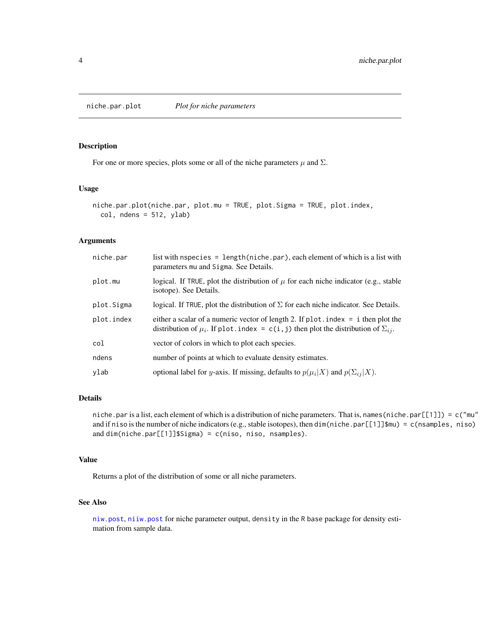<span id="page-3-0"></span>

#### Description

For one or more species, plots some or all of the niche parameters  $\mu$  and  $\Sigma$ .

#### Usage

```
niche.par.plot(niche.par, plot.mu = TRUE, plot.Sigma = TRUE, plot.index,
  col, ndens = 512, ylab)
```
#### Arguments

| niche.par  | list with n species = length (niche.par), each element of which is a list with<br>parameters mu and Sigma. See Details.                                                                |
|------------|----------------------------------------------------------------------------------------------------------------------------------------------------------------------------------------|
| plot.mu    | logical. If TRUE, plot the distribution of $\mu$ for each niche indicator (e.g., stable<br>isotope). See Details.                                                                      |
| plot.Sigma | logical. If TRUE, plot the distribution of $\Sigma$ for each niche indicator. See Details.                                                                                             |
| plot.index | either a scalar of a numeric vector of length 2. If $plot.index = i$ then plot the<br>distribution of $\mu_i$ . If plot. index = c(i, j) then plot the distribution of $\Sigma_{ij}$ . |
| col        | vector of colors in which to plot each species.                                                                                                                                        |
| ndens      | number of points at which to evaluate density estimates.                                                                                                                               |
| ylab       | optional label for y-axis. If missing, defaults to $p(\mu_i X)$ and $p(\Sigma_{ij} X)$ .                                                                                               |

#### Details

niche.par is a list, each element of which is a distribution of niche parameters. That is, names (niche.par[[1]]) = c("mu" and if niso is the number of niche indicators (e.g., stable isotopes), then dim(niche.par[[1]]\$mu) = c(nsamples, niso) and dim(niche.par[[1]]\$Sigma) = c(niso, niso, nsamples).

#### Value

Returns a plot of the distribution of some or all niche parameters.

#### See Also

[niw.post](#page-11-1), [niiw.post](#page-7-1) for niche parameter output, density in the R base package for density estimation from sample data.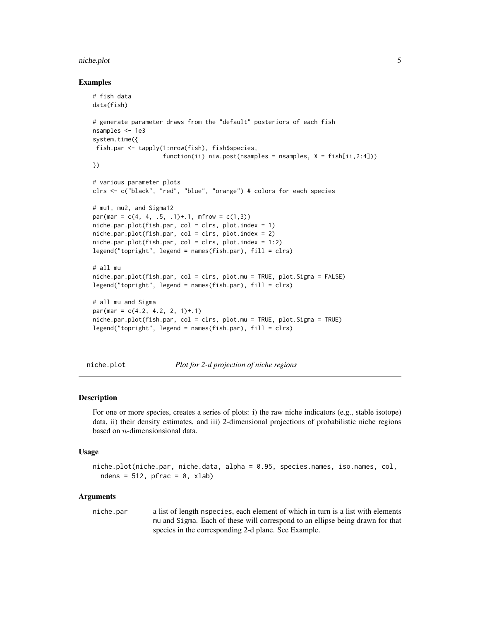#### <span id="page-4-0"></span>niche.plot 5

#### Examples

```
# fish data
data(fish)
# generate parameter draws from the "default" posteriors of each fish
nsamples <- 1e3
system.time({
 fish.par <- tapply(1:nrow(fish), fish$species,
                    function(ii) niw.post(nsamples = nsamples, X = fish[ii, 2:4]))
})
# various parameter plots
clrs <- c("black", "red", "blue", "orange") # colors for each species
# mu1, mu2, and Sigma12
par(max = c(4, 4, .5, .1)+.1, mfrom = c(1,3))niche.par.plot(fish.par, col = clrs, plot.index = 1)niche.par.plot(fish.par, col = clrs, plot.index = 2)
niche.par.plot(fish.par, col = clrs, plot.index = 1:2)
legend("topright", legend = names(fish.par), fill = clrs)
# all mu
niche.par.plot(fish.par, col = clrs, plot.mu = TRUE, plot.Sigma = FALSE)
legend("topright", legend = names(fish.par), fill = clrs)
# all mu and Sigma
par(max = c(4.2, 4.2, 2, 1)+.1)niche.par.plot(fish.par, col = clrs, plot.mu = TRUE, plot.Sigma = TRUE)
legend("topright", legend = names(fish.par), fill = clrs)
```
<span id="page-4-1"></span>niche.plot *Plot for 2-d projection of niche regions*

#### **Description**

For one or more species, creates a series of plots: i) the raw niche indicators (e.g., stable isotope) data, ii) their density estimates, and iii) 2-dimensional projections of probabilistic niche regions based on n-dimensionsional data.

#### Usage

```
niche.plot(niche.par, niche.data, alpha = 0.95, species.names, iso.names, col,
  ndens = 512, pfrac = 0, xlab)
```
#### Arguments

niche.par a list of length nspecies, each element of which in turn is a list with elements mu and Sigma. Each of these will correspond to an ellipse being drawn for that species in the corresponding 2-d plane. See Example.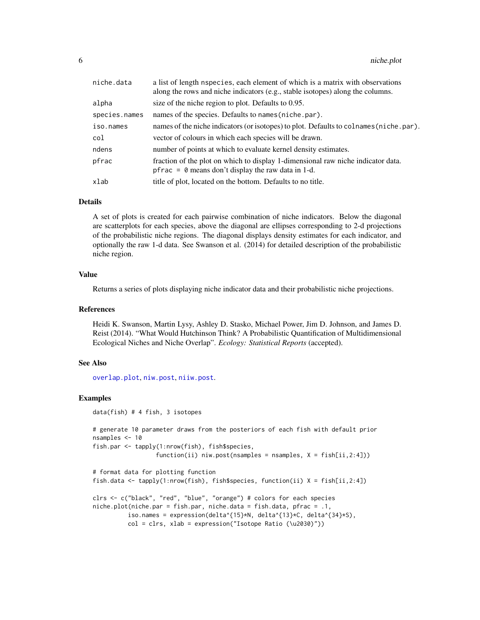<span id="page-5-0"></span>

| niche.data    | a list of length nspecies, each element of which is a matrix with observations<br>along the rows and niche indicators (e.g., stable isotopes) along the columns. |
|---------------|------------------------------------------------------------------------------------------------------------------------------------------------------------------|
| alpha         | size of the niche region to plot. Defaults to 0.95.                                                                                                              |
| species.names | names of the species. Defaults to names (niche.par).                                                                                                             |
| iso.names     | names of the niche indicators (or isotopes) to plot. Defaults to colnames (niche.par).                                                                           |
| col           | vector of colours in which each species will be drawn.                                                                                                           |
| ndens         | number of points at which to evaluate kernel density estimates.                                                                                                  |
| pfrac         | fraction of the plot on which to display 1-dimensional raw niche indicator data.<br>pfrac = $\theta$ means don't display the raw data in 1-d.                    |
| xlab          | title of plot, located on the bottom. Defaults to no title.                                                                                                      |

#### Details

A set of plots is created for each pairwise combination of niche indicators. Below the diagonal are scatterplots for each species, above the diagonal are ellipses corresponding to 2-d projections of the probabilistic niche regions. The diagonal displays density estimates for each indicator, and optionally the raw 1-d data. See Swanson et al. (2014) for detailed description of the probabilistic niche region.

#### Value

Returns a series of plots displaying niche indicator data and their probabilistic niche projections.

#### References

Heidi K. Swanson, Martin Lysy, Ashley D. Stasko, Michael Power, Jim D. Johnson, and James D. Reist (2014). "What Would Hutchinson Think? A Probabilistic Quantification of Multidimensional Ecological Niches and Niche Overlap". *Ecology: Statistical Reports* (accepted).

#### See Also

[overlap.plot](#page-15-1), [niw.post](#page-11-1), [niiw.post](#page-7-1).

#### Examples

data(fish) # 4 fish, 3 isotopes

```
# generate 10 parameter draws from the posteriors of each fish with default prior
nsamples <- 10
fish.par <- tapply(1:nrow(fish), fish$species,
```

```
function(ii) niw.post(nsamples = nsamples, X = fish[ii,2:4]))
```

```
# format data for plotting function
fish.data <- tapply(1:nrow(fish), fish$species, function(ii) X = fish[ii,2:4])
clrs <- c("black", "red", "blue", "orange") # colors for each species
niche.plot(niche.par = fish.par, niche.data = fish.data, pfrac = .1,
          iso.names = expression(delta^{15}*N, delta^{13}*C, delta^{34}*S),
         col = clrs, xlab = expression("Isotope Ratio (\u2030)"))
```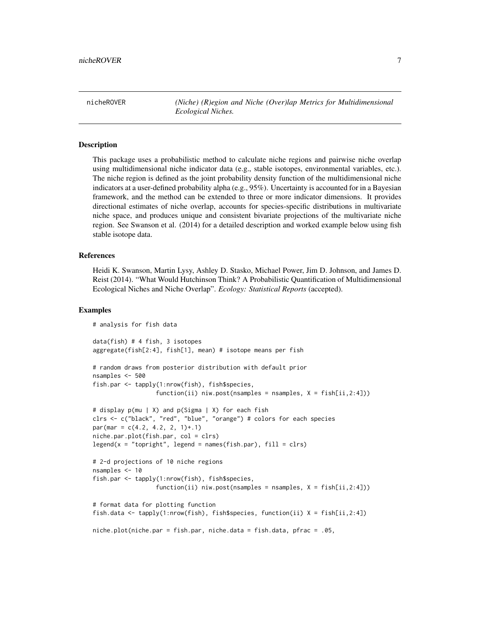<span id="page-6-0"></span>nicheROVER *(Niche) (R)egion and Niche (Over)lap Metrics for Multidimensional Ecological Niches.*

#### **Description**

This package uses a probabilistic method to calculate niche regions and pairwise niche overlap using multidimensional niche indicator data (e.g., stable isotopes, environmental variables, etc.). The niche region is defined as the joint probability density function of the multidimensional niche indicators at a user-defined probability alpha (e.g., 95%). Uncertainty is accounted for in a Bayesian framework, and the method can be extended to three or more indicator dimensions. It provides directional estimates of niche overlap, accounts for species-specific distributions in multivariate niche space, and produces unique and consistent bivariate projections of the multivariate niche region. See Swanson et al. (2014) for a detailed description and worked example below using fish stable isotope data.

#### References

Heidi K. Swanson, Martin Lysy, Ashley D. Stasko, Michael Power, Jim D. Johnson, and James D. Reist (2014). "What Would Hutchinson Think? A Probabilistic Quantification of Multidimensional Ecological Niches and Niche Overlap". *Ecology: Statistical Reports* (accepted).

```
# analysis for fish data
data(fish) # 4 fish, 3 isotopes
aggregate(fish[2:4], fish[1], mean) # isotope means per fish
# random draws from posterior distribution with default prior
nsamples <- 500
fish.par <- tapply(1:nrow(fish), fish$species,
                  function(ii) niw.post(nsamples = nsamples, X = fish[ii,2:4]))
# display p(mu | X) and p(Sigma | X) for each fish
clrs <- c("black", "red", "blue", "orange") # colors for each species
par(max = c(4.2, 4.2, 2, 1)+.1)niche.par.plot(fish.par, col = clrs)
legend(x = "topright", legend = names(fish.par), fill = clrs)# 2-d projections of 10 niche regions
nsamples <- 10
fish.par <- tapply(1:nrow(fish), fish$species,
                  function(ii) niw.post(nsamples = nsamples, X = fish[ii,2:4]))
# format data for plotting function
fish.data <- tapply(1:nrow(fish), fish$species, function(ii) X = fish[ii,2:4])
niche.plot(niche.par = fish.par, niche.data = fish.data, pfrac = .05,
```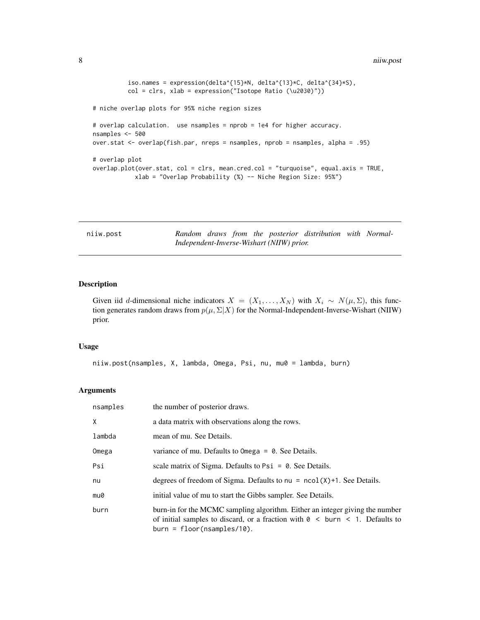```
iso.names = expression(delta^{15}*N, delta^{13}*C, delta^{34}*S),
         col = clrs, xlab = expression("Isotope Ratio (\u2030)"))
# niche overlap plots for 95% niche region sizes
# overlap calculation. use nsamples = nprob = 1e4 for higher accuracy.
nsamples <- 500
over.stat <- overlap(fish.par, nreps = nsamples, nprob = nsamples, alpha = .95)
# overlap plot
overlap.plot(over.stat, col = clrs, mean.cred.col = "turquoise", equal.axis = TRUE,
           xlab = "Overlap Probability (%) -- Niche Region Size: 95%")
```
<span id="page-7-1"></span>

| niiw.post |  |  |  |  |
|-----------|--|--|--|--|
|           |  |  |  |  |
|           |  |  |  |  |

Random draws from the posterior distribution with Normal-*Independent-Inverse-Wishart (NIIW) prior.*

#### Description

Given iid d-dimensional niche indicators  $X = (X_1, \ldots, X_N)$  with  $X_i \sim N(\mu, \Sigma)$ , this function generates random draws from  $p(\mu, \Sigma | X)$  for the Normal-Independent-Inverse-Wishart (NIIW) prior.

#### Usage

niiw.post(nsamples, X, lambda, Omega, Psi, nu, mu0 = lambda, burn)

#### Arguments

| nsamples | the number of posterior draws.                                                                                                                                                                             |
|----------|------------------------------------------------------------------------------------------------------------------------------------------------------------------------------------------------------------|
| X        | a data matrix with observations along the rows.                                                                                                                                                            |
| lambda   | mean of mu. See Details.                                                                                                                                                                                   |
| Omega    | variance of mu. Defaults to $Omega = 0$ . See Details.                                                                                                                                                     |
| Psi      | scale matrix of Sigma. Defaults to $\text{Psi} = \emptyset$ . See Details.                                                                                                                                 |
| nu       | degrees of freedom of Sigma. Defaults to $nu = ncol(X)+1$ . See Details.                                                                                                                                   |
| mu0      | initial value of mu to start the Gibbs sampler. See Details.                                                                                                                                               |
| burn     | burn-in for the MCMC sampling algorithm. Either an integer giving the number<br>of initial samples to discard, or a fraction with $\theta \leq$ burn $\leq$ 1. Defaults to<br>$burn = floor(nsamples/10).$ |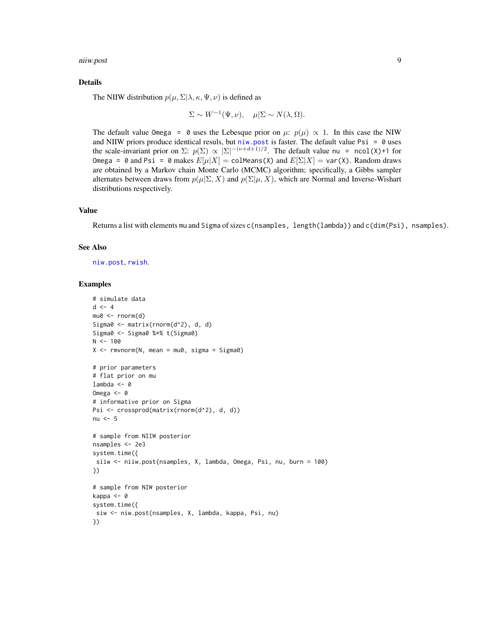<span id="page-8-0"></span>niiw.post 9

#### Details

The NIIW distribution  $p(\mu, \Sigma | \lambda, \kappa, \Psi, \nu)$  is defined as

$$
\Sigma \sim W^{-1}(\Psi, \nu), \quad \mu | \Sigma \sim N(\lambda, \Omega).
$$

The default value Omega = 0 uses the Lebesque prior on  $\mu$ :  $p(\mu) \propto 1$ . In this case the NIW and NIIW priors produce identical resuls, but niw. post is faster. The default value  $\text{Psi} = \emptyset$  uses the scale-invariant prior on  $\Sigma: p(\Sigma) \propto |\Sigma|^{-(\nu+d+1)/2}$ . The default value nu = ncol(X)+1 for Omega = 0 and Psi = 0 makes  $E[\mu|X] = \text{colMeans}(X)$  and  $E[\Sigma|X] = \text{var}(X)$ . Random draws are obtained by a Markov chain Monte Carlo (MCMC) algorithm; specifically, a Gibbs sampler alternates between draws from  $p(\mu|\Sigma, X)$  and  $p(\Sigma|\mu, X)$ , which are Normal and Inverse-Wishart distributions respectively.

#### Value

Returns a list with elements mu and Sigma of sizes c(nsamples, length(lambda)) and c(dim(Psi), nsamples).

#### See Also

[niw.post](#page-11-1), [rwish](#page-18-1).

```
# simulate data
d \leq -4mu0 \leftarrow rnorm(d)Sigma0 <- matrix(rnorm(d^2), d, d)
Sigma0 <- Sigma0 %*% t(Sigma0)
N < - 100X \leq -rmvnorm(N, mean = mu0, sigma = Sigma0)
# prior parameters
# flat prior on mu
lambda < -0Omega <- 0
# informative prior on Sigma
Psi <- crossprod(matrix(rnorm(d^2), d, d))
nu <-5# sample from NIIW posterior
nsamples <- 2e3
system.time({
siiw <- niiw.post(nsamples, X, lambda, Omega, Psi, nu, burn = 100)
})
# sample from NIW posterior
kappa <- 0
system.time({
siw <- niw.post(nsamples, X, lambda, kappa, Psi, nu)
})
```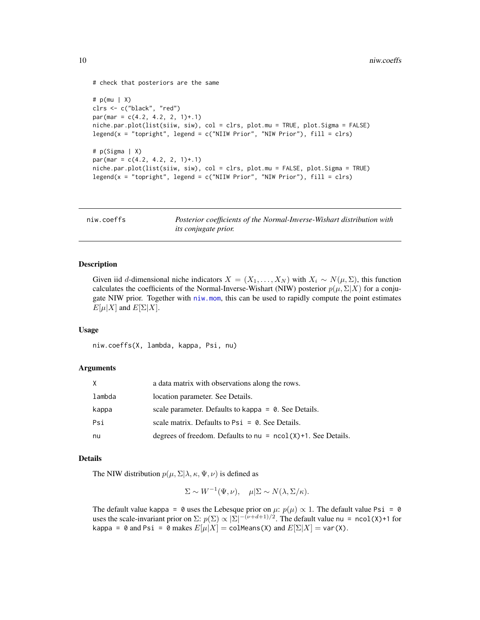```
# check that posteriors are the same
# p(mu | X)
clrs <- c("black", "red")
par(max = c(4.2, 4.2, 2, 1)+.1)niche.par.plot(list(siiw, siw), col = clrs, plot.mu = TRUE, plot.Sigma = FALSE)
legend(x = "topright", legend = c("NIIW Prior", "NIW Prior"), fill = clrs)# p(Sigma | X)
par(max = c(4.2, 4.2, 2, 1)+.1)niche.par.plot(list(siiw, siw), col = clrs, plot.mu = FALSE, plot.Sigma = TRUE)
legend(x = "topright", legend = c("NIIW Prior", "NIW Prior"), fill = clrs)
```
<span id="page-9-1"></span>

| niw.coeffs | Posterior coefficients of the Normal-Inverse-Wishart distribution with |
|------------|------------------------------------------------------------------------|
|            | <i>its conjugate prior.</i>                                            |

#### Description

Given iid d-dimensional niche indicators  $X = (X_1, \ldots, X_N)$  with  $X_i \sim N(\mu, \Sigma)$ , this function calculates the coefficients of the Normal-Inverse-Wishart (NIW) posterior  $p(\mu, \Sigma | X)$  for a conjugate NIW prior. Together with [niw.mom](#page-10-1), this can be used to rapidly compute the point estimates  $E[\mu|X]$  and  $E[\Sigma|X]$ .

#### Usage

```
niw.coeffs(X, lambda, kappa, Psi, nu)
```
#### Arguments

| X      | a data matrix with observations along the rows.                   |
|--------|-------------------------------------------------------------------|
| lambda | location parameter. See Details.                                  |
| kappa  | scale parameter. Defaults to kappa $= 0$ . See Details.           |
| Psi    | scale matrix. Defaults to $\text{Psi} = \emptyset$ . See Details. |
| nu     | degrees of freedom. Defaults to $nu = ncol(X)+1$ . See Details.   |

#### Details

The NIW distribution  $p(\mu, \Sigma | \lambda, \kappa, \Psi, \nu)$  is defined as

$$
\Sigma \sim W^{-1}(\Psi, \nu), \quad \mu | \Sigma \sim N(\lambda, \Sigma/\kappa).
$$

The default value kappa = 0 uses the Lebesque prior on  $\mu$ :  $p(\mu) \propto 1$ . The default value Psi = 0 uses the scale-invariant prior on  $\Sigma: p(\Sigma) \propto |\Sigma|^{-(\nu+d+1)/2}$ . The default value nu = ncol(X)+1 for kappa = 0 and Psi = 0 makes  $E[\mu|X]$  = colMeans(X) and  $E[\Sigma|X]$  = var(X).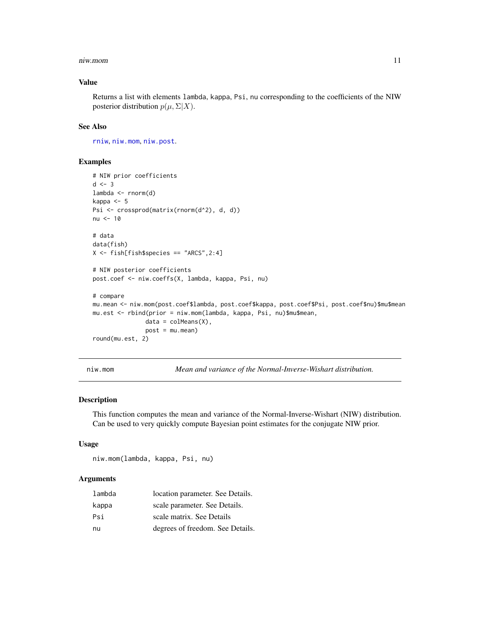#### <span id="page-10-0"></span>niw.mom 11

#### Value

Returns a list with elements lambda, kappa, Psi, nu corresponding to the coefficients of the NIW posterior distribution  $p(\mu, \Sigma | X)$ .

#### See Also

[rniw](#page-16-1), [niw.mom](#page-10-1), [niw.post](#page-11-1).

#### Examples

```
# NIW prior coefficients
d \le -3lambda <- rnorm(d)
kappa <- 5
Psi <- crossprod(matrix(rnorm(d^2), d, d))
nu <- 10
# data
data(fish)
X \leftarrow \text{fish[fish$species == "ARCS", 2:4]}# NIW posterior coefficients
post.coef <- niw.coeffs(X, lambda, kappa, Psi, nu)
# compare
mu.mean <- niw.mom(post.coef$lambda, post.coef$kappa, post.coef$Psi, post.coef$nu)$mu$mean
mu.est <- rbind(prior = niw.mom(lambda, kappa, Psi, nu)$mu$mean,
               data = colMeans(X),
               post = mu.mean)
round(mu.est, 2)
```
niw.mom *Mean and variance of the Normal-Inverse-Wishart distribution.*

#### Description

This function computes the mean and variance of the Normal-Inverse-Wishart (NIW) distribution. Can be used to very quickly compute Bayesian point estimates for the conjugate NIW prior.

#### Usage

niw.mom(lambda, kappa, Psi, nu)

#### Arguments

| lambda | location parameter. See Details. |
|--------|----------------------------------|
| kappa  | scale parameter. See Details.    |
| Psi    | scale matrix. See Details        |
| nu     | degrees of freedom. See Details. |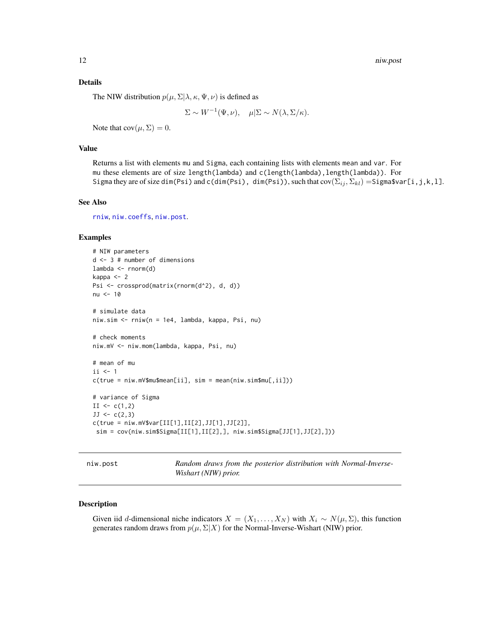<span id="page-11-0"></span>12 niw.post

#### Details

The NIW distribution  $p(\mu, \Sigma | \lambda, \kappa, \Psi, \nu)$  is defined as

$$
\Sigma \sim W^{-1}(\Psi, \nu), \quad \mu | \Sigma \sim N(\lambda, \Sigma/\kappa).
$$

Note that  $cov(\mu, \Sigma) = 0$ .

#### Value

Returns a list with elements mu and Sigma, each containing lists with elements mean and var. For mu these elements are of size length(lambda) and c(length(lambda),length(lambda)). For Sigma they are of size dim(Psi) and c(dim(Psi), dim(Psi)), such that  $cov(\Sigma_{ij}, \Sigma_{kl}) =$ Sigma\$var[i,j,k,l].

#### See Also

[rniw](#page-16-1), [niw.coeffs](#page-9-1), [niw.post](#page-11-1).

#### Examples

```
# NIW parameters
d <- 3 # number of dimensions
lambda <- rnorm(d)
kappa <- 2
Psi <- crossprod(matrix(rnorm(d^2), d, d))
nu <- 10
# simulate data
niw.sim <- rniw(n = 1e4, lambda, kappa, Psi, nu)
# check moments
niw.mV <- niw.mom(lambda, kappa, Psi, nu)
# mean of mu
ii \leq 1c(true = ni w.mV$mu$mean[ii], sim = mean(niw.sim$mu[,ii]))
# variance of Sigma
II \leftarrow c(1,2)JJ \leftarrow c(2,3)c(true = niw.mV$var[II[1],II[2],JJ[1],JJ[2]],
 sim = cov(niw.sim$Sigma[II[1],II[2],], niw.sim$Sigma[JJ[1],JJ[2],]))
```
<span id="page-11-1"></span>niw.post *Random draws from the posterior distribution with Normal-Inverse-Wishart (NIW) prior.*

#### Description

Given iid d-dimensional niche indicators  $X = (X_1, \ldots, X_N)$  with  $X_i \sim N(\mu, \Sigma)$ , this function generates random draws from  $p(\mu, \Sigma | X)$  for the Normal-Inverse-Wishart (NIW) prior.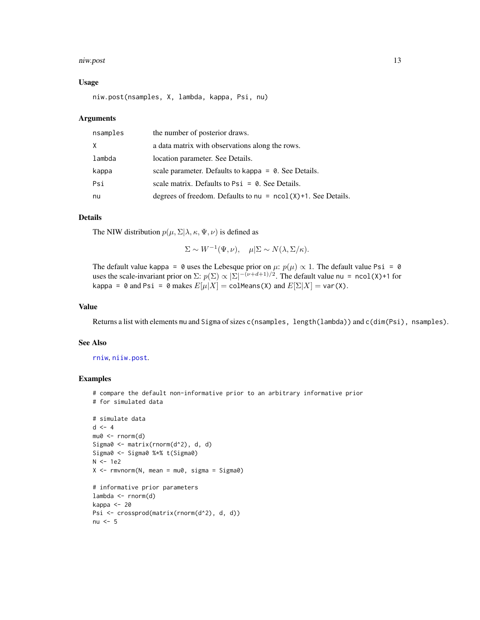#### <span id="page-12-0"></span>niw.post 13

#### Usage

niw.post(nsamples, X, lambda, kappa, Psi, nu)

#### Arguments

| nsamples | the number of posterior draws.                                    |
|----------|-------------------------------------------------------------------|
| X        | a data matrix with observations along the rows.                   |
| lambda   | location parameter. See Details.                                  |
| kappa    | scale parameter. Defaults to kappa $= 0$ . See Details.           |
| Psi      | scale matrix. Defaults to $\text{Psi} = \emptyset$ . See Details. |
| nu       | degrees of freedom. Defaults to $nu = ncol(X)+1$ . See Details.   |

#### Details

The NIW distribution  $p(\mu, \Sigma | \lambda, \kappa, \Psi, \nu)$  is defined as

$$
\Sigma \sim W^{-1}(\Psi, \nu), \quad \mu | \Sigma \sim N(\lambda, \Sigma/\kappa).
$$

The default value kappa = 0 uses the Lebesque prior on  $\mu$ :  $p(\mu) \propto 1$ . The default value Psi = 0 uses the scale-invariant prior on  $\Sigma: p(\Sigma) \propto |\Sigma|^{-(\nu+d+1)/2}$ . The default value nu = ncol(X)+1 for kappa = 0 and Psi = 0 makes  $E[\mu|X]$  = colMeans(X) and  $E[\Sigma|X]$  = var(X).

#### Value

Returns a list with elements mu and Sigma of sizes c(nsamples, length(lambda)) and c(dim(Psi), nsamples).

#### See Also

[rniw](#page-16-1), [niiw.post](#page-7-1).

#### Examples

# compare the default non-informative prior to an arbitrary informative prior # for simulated data

```
# simulate data
d \leq -4mu0 <- rnorm(d)
Sigma0 <- matrix(rnorm(d^2), d, d)
Sigma0 <- Sigma0 %*% t(Sigma0)
N < -1e2X \leq -rmvnorm(N, mean = mu0, sigma = Sigma0)
# informative prior parameters
lambda <- rnorm(d)
kappa <- 20
Psi <- crossprod(matrix(rnorm(d^2), d, d))
nu <-5
```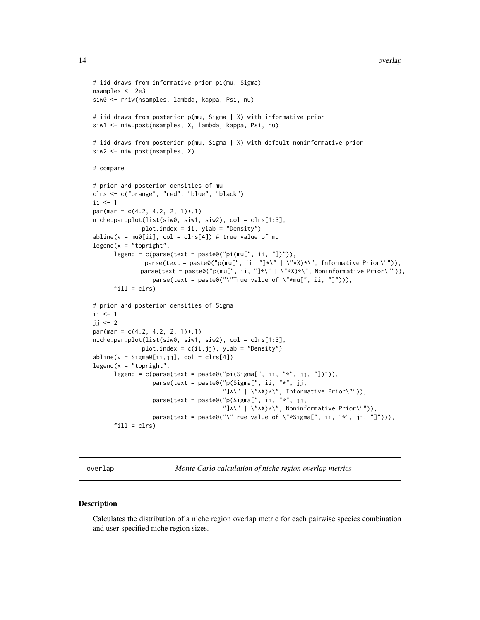#### <span id="page-13-0"></span>14 overlap

```
# iid draws from informative prior pi(mu, Sigma)
nsamples <- 2e3
siw0 <- rniw(nsamples, lambda, kappa, Psi, nu)
# iid draws from posterior p(mu, Sigma | X) with informative prior
siw1 <- niw.post(nsamples, X, lambda, kappa, Psi, nu)
# iid draws from posterior p(mu, Sigma | X) with default noninformative prior
siw2 <- niw.post(nsamples, X)
# compare
# prior and posterior densities of mu
clrs <- c("orange", "red", "blue", "black")
ii \leq 1par(mar = c(4.2, 4.2, 2, 1)+.1)
niche.par.plot(list(siw0, siw1, siw2), col = clrs[1:3],
              plot.index = ii, ylab = "Density")
abline(v = mu0[i], col = clrs[4]) # true value of mu
legend(x = "topright",legend = c(parse(text = paste@("pi(mu[", ii, "l))"),parse(text = paste0("p(mu[", ii, "J*\\" | \^"\;*X)*\\", Informative Prior\"")),
             parse(text = paste0("p(mu[", ii, "J*\\" | \'*.x) *\\", Noninformative Prior\"")),
                 parse(text = paste0("\"True value of \"*mu[", ii, "]"))),
      fill = clrs)# prior and posterior densities of Sigma
ii \leq 1jj \leftarrow 2
par(max = c(4.2, 4.2, 2, 1)+.1)niche.par.plot(list(siw0, siw1, siw2), col = clrs[1:3],
              plot.index = c(ii,jj), ylab = "Density")
abline(v = Signa0[ii,jj], col = clrs[4])legent(x = "topright",legend = c(parse(text = paste0("pi(Sigma[", ii, "*", jj, "])")),
                 parse(text = paste@("p(Sigma["', ii, "*", jj,"]*\" | \"*X)*\", Informative Prior\"")),
                 parse(text = paste0("p(Sigma[", ii, "*", jj,
                                      "]\star\" | \"*X)*\", Noninformative Prior\"")),
                 parse(text = paste0("\"True value of \"*Sigma[", ii, "*", jj, "]"))),
      fill = clrs)
```
<span id="page-13-1"></span>overlap *Monte Carlo calculation of niche region overlap metrics*

#### Description

Calculates the distribution of a niche region overlap metric for each pairwise species combination and user-specified niche region sizes.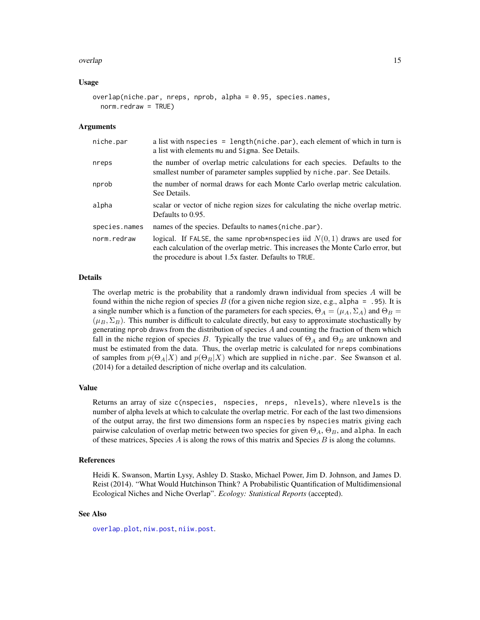#### <span id="page-14-0"></span>overlap to the contract of the contract of the contract of the contract of the contract of the contract of the contract of the contract of the contract of the contract of the contract of the contract of the contract of the

#### Usage

```
overlap(niche.par, nreps, nprob, alpha = 0.95, species.names,
  norm.redraw = TRUE)
```
#### Arguments

| niche.par     | a list with nspecies = $length(niche, par)$ , each element of which in turn is<br>a list with elements mu and Sigma. See Details.                                                                                         |  |
|---------------|---------------------------------------------------------------------------------------------------------------------------------------------------------------------------------------------------------------------------|--|
| nreps         | the number of overlap metric calculations for each species. Defaults to the<br>smallest number of parameter samples supplied by niche.par. See Details.                                                                   |  |
| nprob         | the number of normal draws for each Monte Carlo overlap metric calculation.<br>See Details.                                                                                                                               |  |
| alpha         | scalar or vector of niche region sizes for calculating the niche overlap metric.<br>Defaults to 0.95.                                                                                                                     |  |
| species.names | names of the species. Defaults to names (niche.par).                                                                                                                                                                      |  |
| norm.redraw   | logical. If FALSE, the same nprob*nspecies iid $N(0, 1)$ draws are used for<br>each calculation of the overlap metric. This increases the Monte Carlo error, but<br>the procedure is about 1.5x faster. Defaults to TRUE. |  |

#### Details

The overlap metric is the probability that a randomly drawn individual from species  $A$  will be found within the niche region of species B (for a given niche region size, e.g., alpha = .95). It is a single number which is a function of the parameters for each species,  $\Theta_A = (\mu_A, \Sigma_A)$  and  $\Theta_B =$  $(\mu_B, \Sigma_B)$ . This number is difficult to calculate directly, but easy to approximate stochastically by generating nprob draws from the distribution of species  $A$  and counting the fraction of them which fall in the niche region of species B. Typically the true values of  $\Theta_A$  and  $\Theta_B$  are unknown and must be estimated from the data. Thus, the overlap metric is calculated for nreps combinations of samples from  $p(\Theta_A|X)$  and  $p(\Theta_B|X)$  which are supplied in niche.par. See Swanson et al. (2014) for a detailed description of niche overlap and its calculation.

#### Value

Returns an array of size c(nspecies, nspecies, nreps, nlevels), where nlevels is the number of alpha levels at which to calculate the overlap metric. For each of the last two dimensions of the output array, the first two dimensions form an nspecies by nspecies matrix giving each pairwise calculation of overlap metric between two species for given  $\Theta_A$ ,  $\Theta_B$ , and alpha. In each of these matrices, Species  $A$  is along the rows of this matrix and Species  $B$  is along the columns.

#### References

Heidi K. Swanson, Martin Lysy, Ashley D. Stasko, Michael Power, Jim D. Johnson, and James D. Reist (2014). "What Would Hutchinson Think? A Probabilistic Quantification of Multidimensional Ecological Niches and Niche Overlap". *Ecology: Statistical Reports* (accepted).

#### See Also

[overlap.plot](#page-15-1), [niw.post](#page-11-1), [niiw.post](#page-7-1).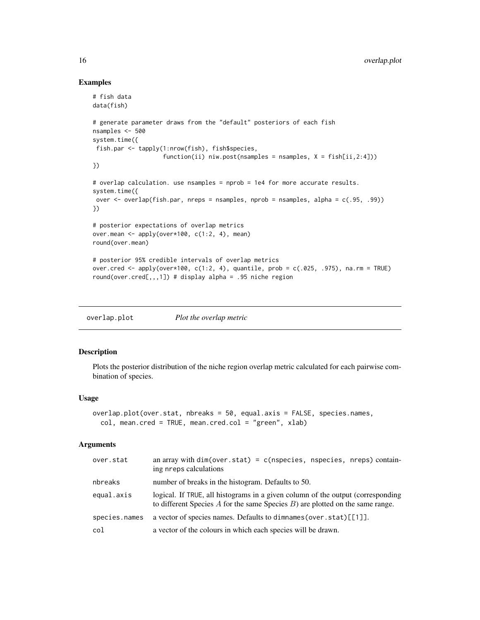#### Examples

```
# fish data
data(fish)
# generate parameter draws from the "default" posteriors of each fish
nsamples <- 500
system.time({
fish.par <- tapply(1:nrow(fish), fish$species,
                    function(ii) niw.post(nsamples = nsamples, X = fish[ii,2:4]))
})
# overlap calculation. use nsamples = nprob = 1e4 for more accurate results.
system.time({
over <- overlap(fish.par, nreps = nsamples, nprob = nsamples, alpha = c(.95, .99))
})
# posterior expectations of overlap metrics
over.mean <- apply(over*100, c(1:2, 4), mean)
round(over.mean)
# posterior 95% credible intervals of overlap metrics
over.cred <- apply(over*100, c(1:2, 4), quantile, prob = c(.025, .975), na.rm = TRUE)
round(over.cred[,,,1]) # display alpha = .95 niche region
```
<span id="page-15-1"></span>

| overlap.plot | Plot the overlap metric |
|--------------|-------------------------|
|              |                         |

#### Description

Plots the posterior distribution of the niche region overlap metric calculated for each pairwise combination of species.

#### Usage

```
overlap.plot(over.stat, nbreaks = 50, equal.axis = FALSE, species.names,
  col, mean.cred = TRUE, mean.cred.col = "green", xlab)
```
#### Arguments

| over.stat     | an array with $dim(over.start) = c(nspecies, nspecies, nreps) contain-$<br>ing nreps calculations                                                                     |
|---------------|-----------------------------------------------------------------------------------------------------------------------------------------------------------------------|
| nbreaks       | number of breaks in the histogram. Defaults to 50.                                                                                                                    |
| equal.axis    | logical. If TRUE, all histograms in a given column of the output (corresponding<br>to different Species $A$ for the same Species $B$ ) are plotted on the same range. |
| species.names | a vector of species names. Defaults to dimnames (over.stat) [[1]].                                                                                                    |
| col           | a vector of the colours in which each species will be drawn.                                                                                                          |

<span id="page-15-0"></span>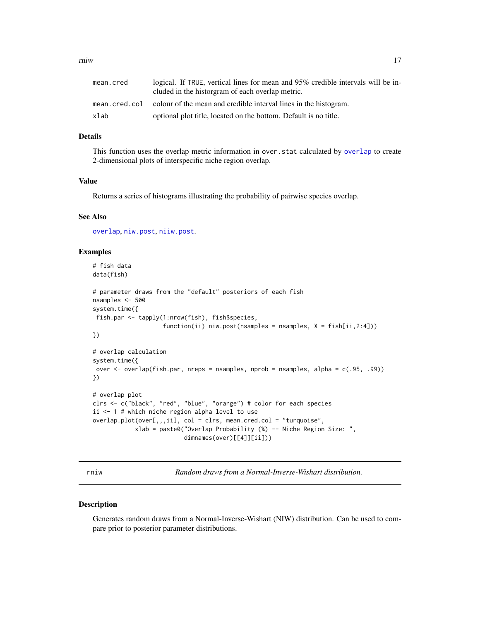<span id="page-16-0"></span>

| mean.cred | logical. If TRUE, vertical lines for mean and 95% credible intervals will be in-<br>cluded in the historgram of each overlap metric. |
|-----------|--------------------------------------------------------------------------------------------------------------------------------------|
|           | mean, cred, col colour of the mean and credible interval lines in the histogram.                                                     |
| xlab      | optional plot title, located on the bottom. Default is no title.                                                                     |

#### Details

This function uses the overlap metric information in over.stat calculated by [overlap](#page-13-1) to create 2-dimensional plots of interspecific niche region overlap.

#### Value

Returns a series of histograms illustrating the probability of pairwise species overlap.

#### See Also

[overlap](#page-13-1), [niw.post](#page-11-1), [niiw.post](#page-7-1).

#### Examples

```
# fish data
data(fish)
# parameter draws from the "default" posteriors of each fish
nsamples <- 500
system.time({
 fish.par <- tapply(1:nrow(fish), fish$species,
                    function(ii) niw.post(nsamples = nsamples, X = fish[ii,2:4]))
})
# overlap calculation
system.time({
over <- overlap(fish.par, nreps = nsamples, nprob = nsamples, alpha = c(.95, .99))
})
# overlap plot
clrs <- c("black", "red", "blue", "orange") # color for each species
ii <- 1 # which niche region alpha level to use
```

```
overlap.plot(over[,,,ii], col = clrs, mean.cred.col = "turquoise",
            xlab = paste0("Overlap Probability (%) -- Niche Region Size: ",
                          dimnames(over)[[4]][ii]))
```
<span id="page-16-1"></span>rniw *Random draws from a Normal-Inverse-Wishart distribution.*

#### Description

Generates random draws from a Normal-Inverse-Wishart (NIW) distribution. Can be used to compare prior to posterior parameter distributions.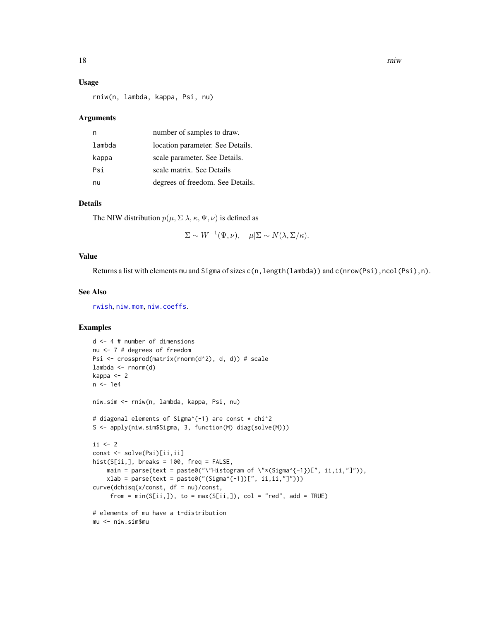#### <span id="page-17-0"></span>Usage

rniw(n, lambda, kappa, Psi, nu)

#### Arguments

|        | number of samples to draw.       |
|--------|----------------------------------|
| lambda | location parameter. See Details. |
| kappa  | scale parameter. See Details.    |
| Psi    | scale matrix. See Details        |
| nu     | degrees of freedom. See Details. |

#### Details

The NIW distribution  $p(\mu, \Sigma | \lambda, \kappa, \Psi, \nu)$  is defined as

 $\Sigma \sim W^{-1}(\Psi, \nu), \quad \mu | \Sigma \sim N(\lambda, \Sigma / \kappa).$ 

#### Value

Returns a list with elements mu and Sigma of sizes c(n,length(lambda)) and c(nrow(Psi),ncol(Psi),n).

#### See Also

[rwish](#page-18-1), [niw.mom](#page-10-1), [niw.coeffs](#page-9-1).

```
d <- 4 # number of dimensions
nu <- 7 # degrees of freedom
Psi <- crossprod(matrix(rnorm(d^2), d, d)) # scale
lambda <- rnorm(d)
kappa <- 2
n <- 1e4
niw.sim <- rniw(n, lambda, kappa, Psi, nu)
# diagonal elements of Sigma^{-1} are const * chi^2
S <- apply(niw.sim$Sigma, 3, function(M) diag(solve(M)))
ii \leq 2const <- solve(Psi)[ii,ii]
hist(S[ii,], breaks = 100, freq = FALSE,
   main = parse(text = paste0("\"Histogram of \"*(Sigma^{-1})[", ii,ii,"]")),
   xlab = parse(text = paste0("(Sigma^{-1})[[", ii, ii, "]"))curve(dchisq(x/const, df = nu)/const,
     from = min(S[ii,]), to = max(S[ii,]), col = "red", add = TRUE)
# elements of mu have a t-distribution
mu <- niw.sim$mu
```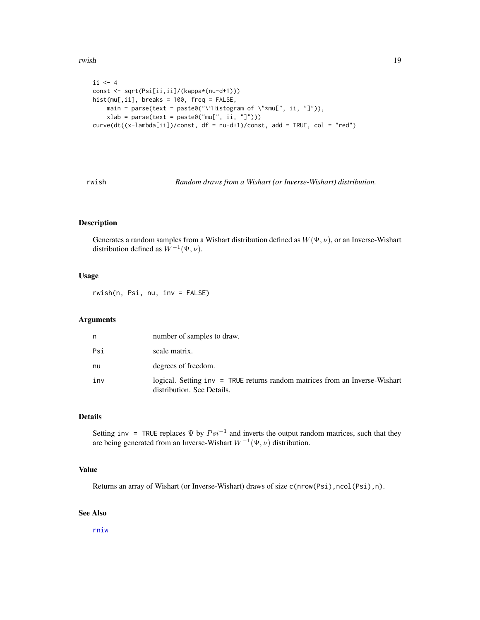#### <span id="page-18-0"></span>rwish the contract of the contract of the contract of the contract of the contract of the contract of the contract of the contract of the contract of the contract of the contract of the contract of the contract of the cont

```
ii \le -4const <- sqrt(Psi[ii,ii]/(kappa*(nu-d+1)))
hist(mu[,ii], breaks = 100, freq = FALSE,
    main = parse(text = paste0("\\"History: 1" * mu["', ii, "]");xlab = parse(text = paste0("mu[", ii, "l")))curve(dt((x-lambda[ii])/const, df = nu-d+1)/const, add = TRUE, col = "red")
```
<span id="page-18-1"></span>rwish *Random draws from a Wishart (or Inverse-Wishart) distribution.*

#### Description

Generates a random samples from a Wishart distribution defined as  $W(\Psi, \nu)$ , or an Inverse-Wishart distribution defined as  $W^{-1}(\Psi, \nu)$ .

#### Usage

rwish(n, Psi, nu, inv = FALSE)

#### Arguments

| n   | number of samples to draw.                                                                                    |
|-----|---------------------------------------------------------------------------------------------------------------|
| Psi | scale matrix.                                                                                                 |
| nu  | degrees of freedom.                                                                                           |
| inv | $logical.$ Setting $inv = TRUE$ returns random matrices from an Inverse-Wishart<br>distribution. See Details. |

#### Details

Setting inv = TRUE replaces  $\Psi$  by  $Psi^{-1}$  and inverts the output random matrices, such that they are being generated from an Inverse-Wishart  $W^{-1}(\Psi,\nu)$  distribution.

#### Value

Returns an array of Wishart (or Inverse-Wishart) draws of size c(nrow(Psi),ncol(Psi),n).

#### See Also

[rniw](#page-16-1)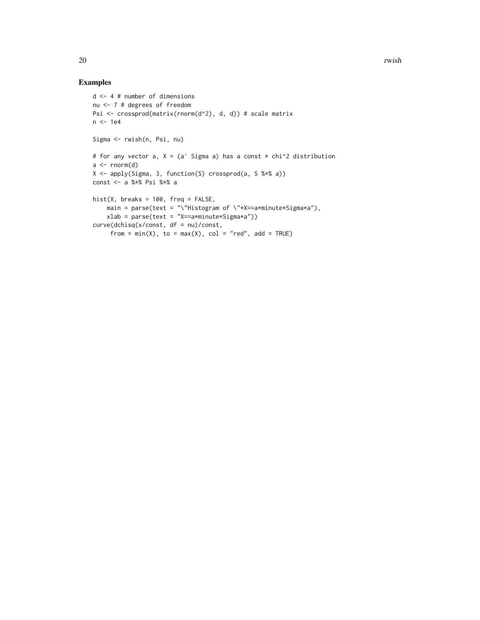```
d <- 4 # number of dimensions
nu <- 7 # degrees of freedom
Psi <- crossprod(matrix(rnorm(d^2), d, d)) # scale matrix
n <- 1e4
Sigma <- rwish(n, Psi, nu)
# for any vector a, X = (a' Sigma a) has a const * chi<sup>2</sup> distribution
a \leftarrow \text{norm}(d)X <- apply(Sigma, 3, function(S) crossprod(a, S %*% a))
const <- a %*% Psi %*% a
hist(X, breaks = 100, freq = FALSE,
    main = parse(text = "\"Histogram of \"*X==a*minute*Sigma*a"),
    xlab = parse(text = "X==a*minute*Sigma*a"))
curve(dchisq(x/const, df = nu)/const,
     from = min(X), to = max(X), col = "red", add = TRUE)
```